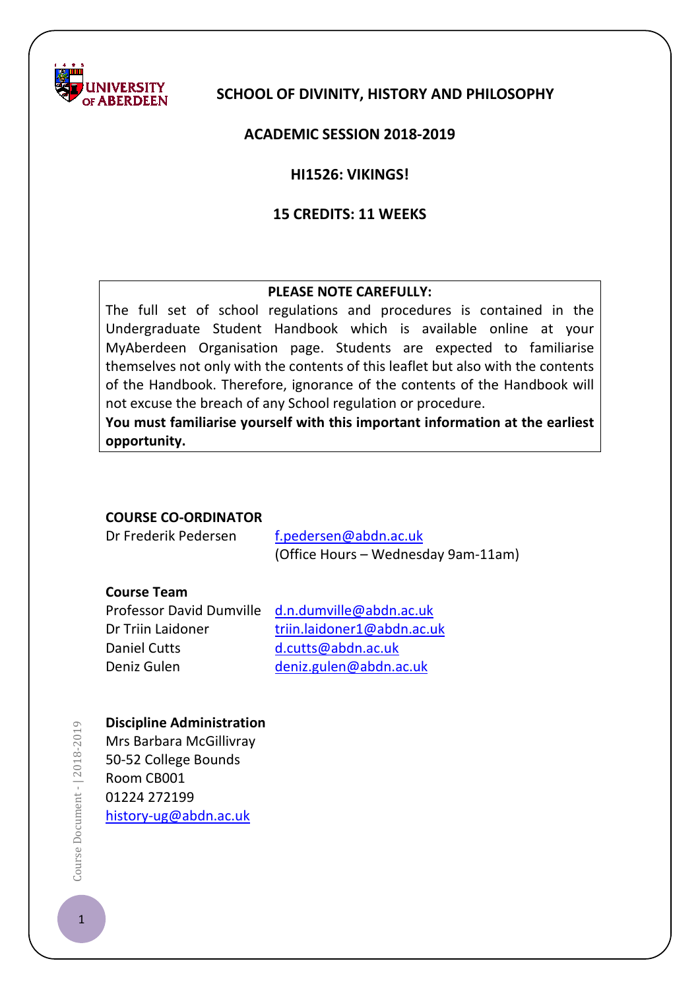

# **SCHOOL OF DIVINITY, HISTORY AND PHILOSOPHY**

### **ACADEMIC SESSION 2018-2019**

### **HI1526: VIKINGS!**

### **15 CREDITS: 11 WEEKS**

#### **PLEASE NOTE CAREFULLY:**

The full set of school regulations and procedures is contained in the Undergraduate Student Handbook which is available online at your MyAberdeen Organisation page. Students are expected to familiarise themselves not only with the contents of this leaflet but also with the contents of the Handbook. Therefore, ignorance of the contents of the Handbook will not excuse the breach of any School regulation or procedure.

**You must familiarise yourself with this important information at the earliest opportunity.**

#### **COURSE CO-ORDINATOR**

Dr Frederik Pedersen [f.pedersen@abdn.ac.uk](mailto:f.pedersen@abdn.ac.uk) (Office Hours – Wednesday 9am-11am)

#### **Course Team**

Daniel Cutts [d.cutts@abdn.ac.uk](mailto:d.cutts@abdn.ac.uk)

Professor David Dumville [d.n.dumville@abdn.ac.uk](mailto:d.n.dumville@abdn.ac.uk) Dr Triin Laidoner [triin.laidoner1@abdn.ac.uk](mailto:s04tl8@abdn.ac.uk) Deniz Gulen [deniz.gulen@abdn.ac.uk](mailto:deniz.gulen@abdn.ac.uk)

#### **Discipline Administration**

Mrs Barbara McGillivray 50-52 College Bounds Room CB001 01224 272199 [history-ug@abdn.ac.uk](mailto:history-ug@abdn.ac.uk)

Course Document - | 2018-2019  $\blacksquare$   $\blacksquare$  Document -  $\lceil 2018 \cdot 2019 \rceil$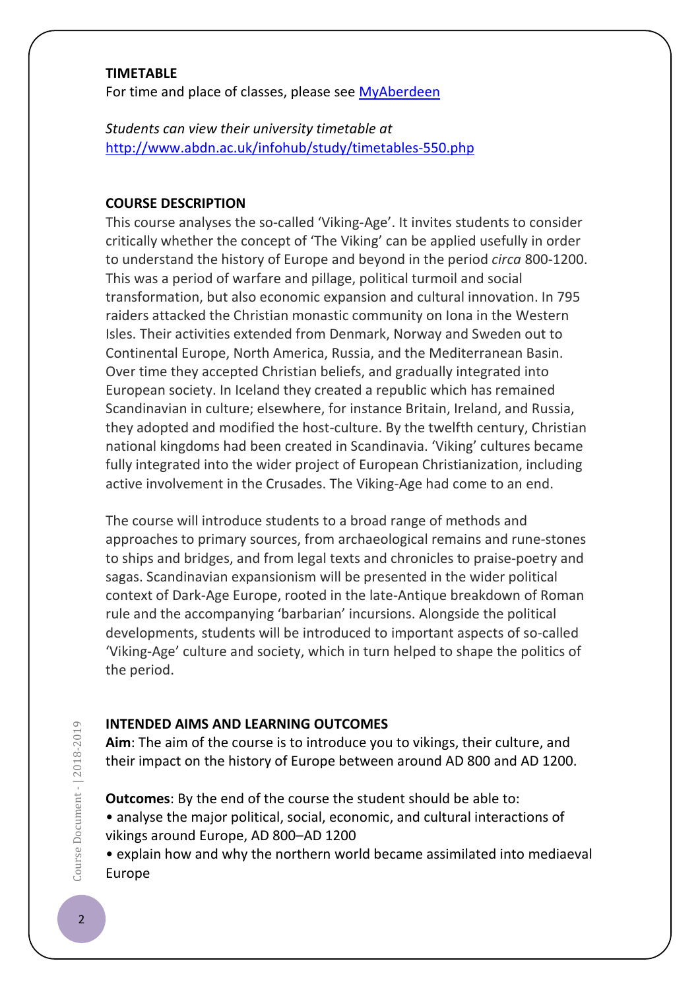#### **TIMETABLE**

For time and place of classes, please see [MyAberdeen](https://abdn.blackboard.com/)

*Students can view their university timetable at*  <http://www.abdn.ac.uk/infohub/study/timetables-550.php>

### **COURSE DESCRIPTION**

This course analyses the so-called 'Viking-Age'. It invites students to consider critically whether the concept of 'The Viking' can be applied usefully in order to understand the history of Europe and beyond in the period *circa* 800-1200. This was a period of warfare and pillage, political turmoil and social transformation, but also economic expansion and cultural innovation. In 795 raiders attacked the Christian monastic community on Iona in the Western Isles. Their activities extended from Denmark, Norway and Sweden out to Continental Europe, North America, Russia, and the Mediterranean Basin. Over time they accepted Christian beliefs, and gradually integrated into European society. In Iceland they created a republic which has remained Scandinavian in culture; elsewhere, for instance Britain, Ireland, and Russia, they adopted and modified the host-culture. By the twelfth century, Christian national kingdoms had been created in Scandinavia. 'Viking' cultures became fully integrated into the wider project of European Christianization, including active involvement in the Crusades. The Viking-Age had come to an end.

The course will introduce students to a broad range of methods and approaches to primary sources, from archaeological remains and rune-stones to ships and bridges, and from legal texts and chronicles to praise-poetry and sagas. Scandinavian expansionism will be presented in the wider political context of Dark-Age Europe, rooted in the late-Antique breakdown of Roman rule and the accompanying 'barbarian' incursions. Alongside the political developments, students will be introduced to important aspects of so-called 'Viking-Age' culture and society, which in turn helped to shape the politics of the period.

# **INTENDED AIMS AND LEARNING OUTCOMES**

**Aim**: The aim of the course is to introduce you to vikings, their culture, and their impact on the history of Europe between around AD 800 and AD 1200.

**Outcomes**: By the end of the course the student should be able to:

• analyse the major political, social, economic, and cultural interactions of vikings around Europe, AD 800–AD 1200

• explain how and why the northern world became assimilated into mediaeval Europe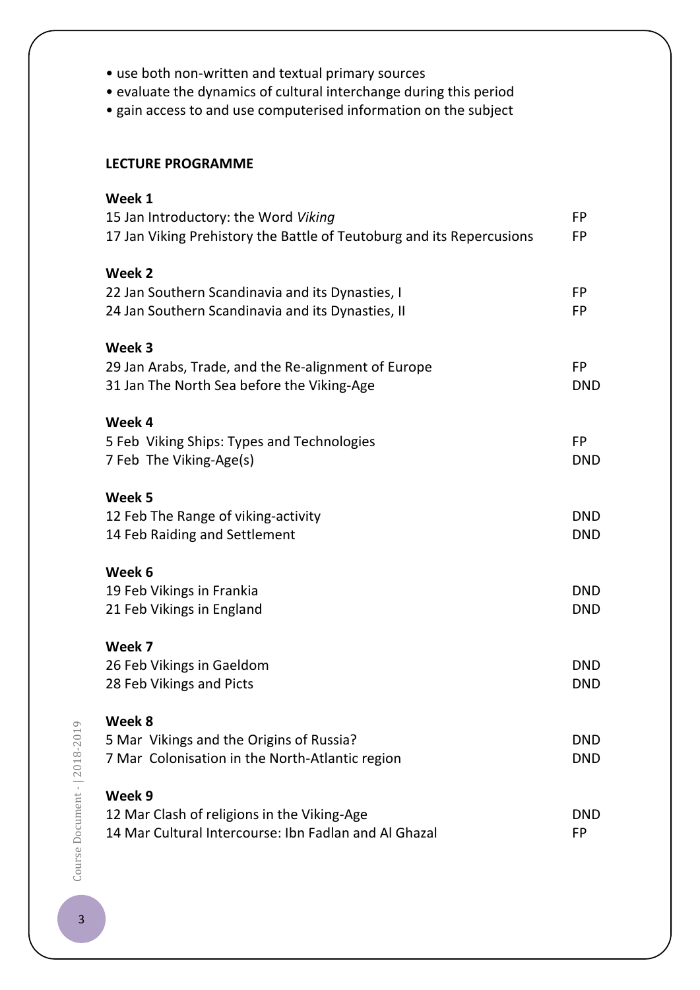| • use both non-written and textual primary sources |  |
|----------------------------------------------------|--|
|----------------------------------------------------|--|

- evaluate the dynamics of cultural interchange during this period
- gain access to and use computerised information on the subject

# **LECTURE PROGRAMME**

| Week 1                                                                |            |
|-----------------------------------------------------------------------|------------|
| 15 Jan Introductory: the Word Viking                                  | <b>FP</b>  |
| 17 Jan Viking Prehistory the Battle of Teutoburg and its Repercusions | <b>FP</b>  |
| Week 2                                                                |            |
| 22 Jan Southern Scandinavia and its Dynasties, I                      | <b>FP</b>  |
| 24 Jan Southern Scandinavia and its Dynasties, II                     | <b>FP</b>  |
| Week 3                                                                |            |
| 29 Jan Arabs, Trade, and the Re-alignment of Europe                   | <b>FP</b>  |
| 31 Jan The North Sea before the Viking-Age                            | <b>DND</b> |
| Week 4                                                                |            |
| 5 Feb Viking Ships: Types and Technologies                            | <b>FP</b>  |
| 7 Feb The Viking-Age(s)                                               | <b>DND</b> |
| Week 5                                                                |            |
| 12 Feb The Range of viking-activity                                   | <b>DND</b> |
| 14 Feb Raiding and Settlement                                         | <b>DND</b> |
| Week 6                                                                |            |
| 19 Feb Vikings in Frankia                                             | <b>DND</b> |
| 21 Feb Vikings in England                                             | <b>DND</b> |
| Week 7                                                                |            |
| 26 Feb Vikings in Gaeldom                                             | <b>DND</b> |
| 28 Feb Vikings and Picts                                              | <b>DND</b> |
| Week 8                                                                |            |
| 5 Mar Vikings and the Origins of Russia?                              | <b>DND</b> |
| 7 Mar Colonisation in the North-Atlantic region                       | <b>DND</b> |
| Week 9                                                                |            |
| 12 Mar Clash of religions in the Viking-Age                           | <b>DND</b> |
| 14 Mar Cultural Intercourse: Ibn Fadlan and Al Ghazal                 |            |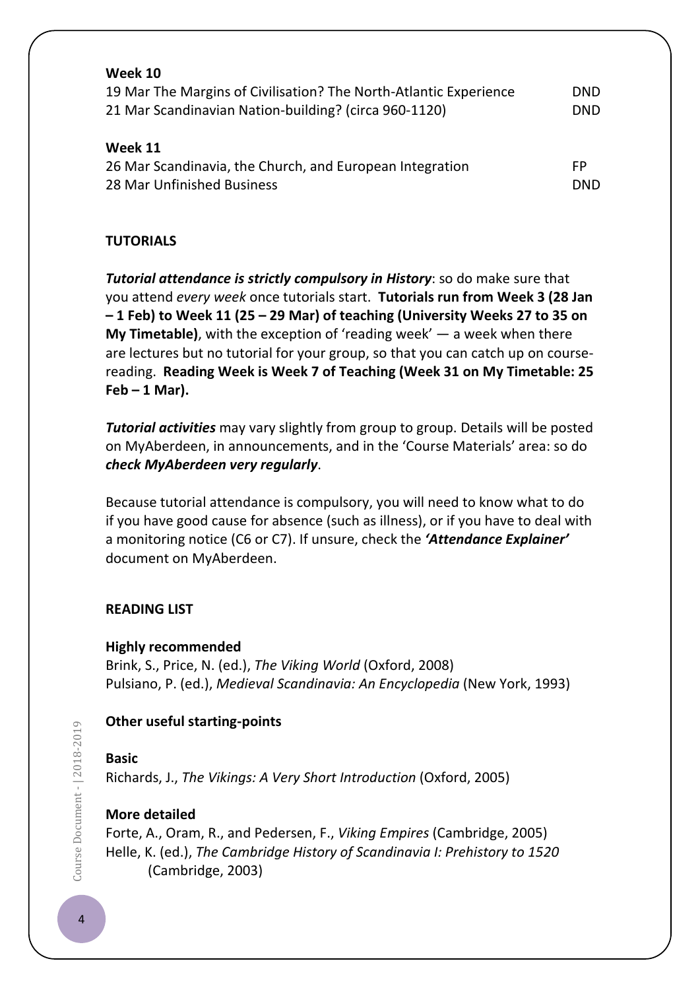| Week 10                                                           |            |
|-------------------------------------------------------------------|------------|
| 19 Mar The Margins of Civilisation? The North-Atlantic Experience | <b>DND</b> |
| 21 Mar Scandinavian Nation-building? (circa 960-1120)             | <b>DND</b> |
| Week 11                                                           |            |
| 26 Mar Scandinavia, the Church, and European Integration          | FP         |
| 28 Mar Unfinished Business                                        | <b>DND</b> |

# **TUTORIALS**

*Tutorial attendance is strictly compulsory in History*: so do make sure that you attend *every week* once tutorials start. **Tutorials run from Week 3 (28 Jan – 1 Feb) to Week 11 (25 – 29 Mar) of teaching (University Weeks 27 to 35 on My Timetable)**, with the exception of 'reading week' — a week when there are lectures but no tutorial for your group, so that you can catch up on coursereading. **Reading Week is Week 7 of Teaching (Week 31 on My Timetable: 25 Feb – 1 Mar).**

*Tutorial activities* may vary slightly from group to group. Details will be posted on MyAberdeen, in announcements, and in the 'Course Materials' area: so do *check MyAberdeen very regularly*.

Because tutorial attendance is compulsory, you will need to know what to do if you have good cause for absence (such as illness), or if you have to deal with a monitoring notice (C6 or C7). If unsure, check the *'Attendance Explainer'* document on MyAberdeen.

# **READING LIST**

**Highly recommended**  Brink, S., Price, N. (ed.), *The Viking World* (Oxford, 2008) Pulsiano, P. (ed.), *Medieval Scandinavia: An Encyclopedia* (New York, 1993)

# **Other useful starting-points**

# **Basic**

Richards, J., *The Vikings: A Very Short Introduction* (Oxford, 2005)

# **More detailed**

Forte, A., Oram, R., and Pedersen, F., *Viking Empires* (Cambridge, 2005) Helle, K. (ed.), *The Cambridge History of Scandinavia I: Prehistory to 1520*  (Cambridge, 2003)

Course Document - 2018-2019  $\bullet$   $\bullet$  Document -  $| 2018 - 2019$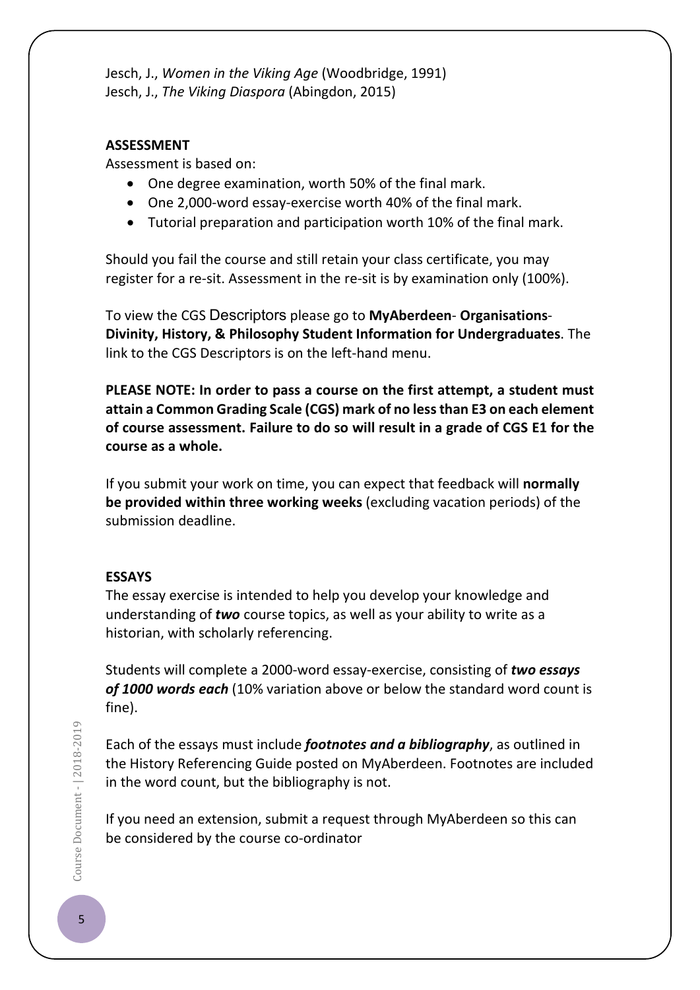Jesch, J., *Women in the Viking Age* (Woodbridge, 1991) Jesch, J., *The Viking Diaspora* (Abingdon, 2015)

#### **ASSESSMENT**

Assessment is based on:

- One degree examination, worth 50% of the final mark.
- One 2,000-word essay-exercise worth 40% of the final mark.
- Tutorial preparation and participation worth 10% of the final mark.

Should you fail the course and still retain your class certificate, you may register for a re-sit. Assessment in the re-sit is by examination only (100%).

To view the CGS Descriptors please go to **MyAberdeen**- **Organisations**-**Divinity, History, & Philosophy Student Information for Undergraduates**. The link to the CGS Descriptors is on the left-hand menu.

**PLEASE NOTE: In order to pass a course on the first attempt, a student must attain a Common Grading Scale (CGS) mark of no less than E3 on each element of course assessment. Failure to do so will result in a grade of CGS E1 for the course as a whole.**

If you submit your work on time, you can expect that feedback will **normally be provided within three working weeks** (excluding vacation periods) of the submission deadline.

#### **ESSAYS**

The essay exercise is intended to help you develop your knowledge and understanding of *two* course topics, as well as your ability to write as a historian, with scholarly referencing.

Students will complete a 2000-word essay-exercise, consisting of *two essays of 1000 words each* (10% variation above or below the standard word count is fine).

Each of the essays must include *footnotes and a bibliography*, as outlined in the History Referencing Guide posted on MyAberdeen. Footnotes are included in the word count, but the bibliography is not.

If you need an extension, submit a request through MyAberdeen so this can be considered by the course co-ordinator